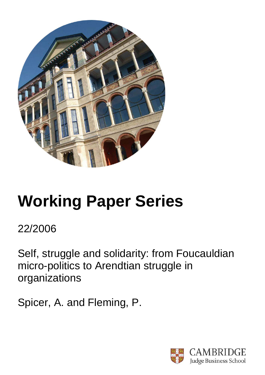

# **Working Paper Series**

22/2006

Self, struggle and solidarity: from Foucauldian micro-politics to Arendtian struggle in organizations

Spicer, A. and Fleming, P.

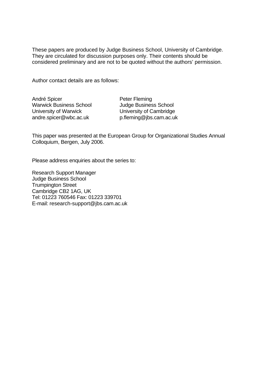These papers are produced by Judge Business School, University of Cambridge. They are circulated for discussion purposes only. Their contents should be considered preliminary and are not to be quoted without the authors' permission.

Author contact details are as follows:

André Spicer Warwick Business School University of Warwick andre.spicer@wbc.ac.uk

Peter Fleming Judge Business School University of Cambridge p.fleming@jbs.cam.ac.uk

This paper was presented at the European Group for Organizational Studies Annual Colloquium, Bergen, July 2006.

Please address enquiries about the series to:

Research Support Manager Judge Business School Trumpington Street Cambridge CB2 1AG, UK Tel: 01223 760546 Fax: 01223 339701 E-mail: research-support@jbs.cam.ac.uk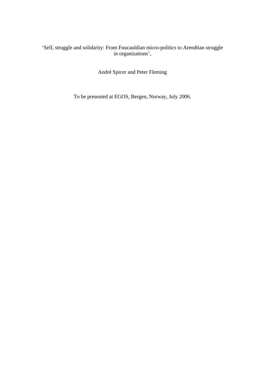# 'Self, struggle and solidarity: From Foucauldian micro-politics to Arendtian struggle in organizations',

André Spicer and Peter Fleming

To be presented at EGOS, Bergen, Norway, July 2006.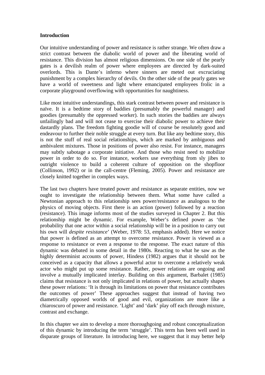# **Introduction**

Our intuitive understanding of power and resistance is rather strange. We often draw a strict contrast between the diabolic world of power and the liberating world of resistance. This division has almost religious dimensions. On one side of the pearly gates is a devilish realm of power where employees are directed by dark-suited overlords. This is Dante's inferno where sinners are meted out excruciating punishment by a complex hierarchy of devils. On the other side of the pearly gates we have a world of sweetness and light where emancipated employees frolic in a corporate playground overflowing with opportunities for naughtiness.

Like most intuitive understandings, this stark contrast between power and resistance is naïve. It is a bedtime story of baddies (presumably the powerful manager) and goodies (presumably the oppressed worker). In such stories the baddies are always unfailingly bad and will not cease to exercise their diabolic power to achieve their dastardly plans. The freedom fighting goodie will of course be resolutely good and endeavour to further their noble struggle at every turn. But like any bedtime story, this is not the stuff of real social relationships, which are marked by ambiguous and ambivalent mixtures. Those in positions of power also resist. For instance, managers may subtly sabotage a corporate initiative. And those who resist need to mobilize power in order to do so. For instance, workers use everything from sly jibes to outright violence to build a coherent culture of opposition on the shopfloor (Collinson, 1992) or in the call-centre (Fleming, 2005). Power and resistance are closely knitted together in complex ways.

The last two chapters have treated power and resistance as separate entities, now we ought to investigate the relationship between them. What some have called a Newtonian approach to this relationship sees power/resistance as analogous to the physics of moving objects. First there is an action (power) followed by a reaction (resistance). This image informs most of the studies surveyed in Chapter 2. But this relationship might be dynamic. For example, Weber's defined power as 'the probability that one actor within a social relationship will be in a position to carry out his own will *despite resistance*' (Weber, 1978: 53, emphasis added). Here we notice that power is defined as an attempt to overcome resistance. Power is viewed as a response to resistance or even a response to the response. The exact nature of this dynamic was debated in some detail in the 1980s. Reacting to what he saw as the highly determinist accounts of power, Hindess (1982) argues that it should not be conceived as a capacity that allows a powerful actor to overcome a relatively weak actor who might put up some resistance. Rather, power relations are ongoing and involve a mutually implicated interlay. Building on this argument, Barbalet (1985) claims that resistance is not only implicated in relations of power, but actually shapes these power relations: 'It is through its limitations on power that resistance contributes the outcomes of power' These approaches suggest that instead of having two diametrically opposed worlds of good and evil, organizations are more like a chiaroscuro of power and resistance. 'Light' and 'dark' play off each through mixture, contrast and exchange.

In this chapter we aim to develop a more thoroughgoing and robust conceptualization of this dynamic by introducing the term 'struggle'. This term has been well used in disparate groups of literature. In introducing here, we suggest that it may better help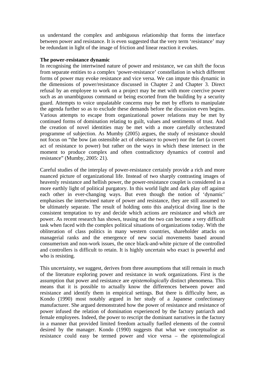us understand the complex and ambiguous relationship that forms the interface between power and resistance. It is even suggested that the very term 'resistance' may be redundant in light of the image of friction and linear reaction it evokes.

#### **The power-resistance dynamic**

In recognising the intertwined nature of power and resistance, we can shift the focus from separate entities to a complex 'power-resistance' constellation in which different forms of power may evoke resistance and vice versa. We can impute this dynamic in the dimensions of power/resistance discussed in Chapter 2 and Chapter 3. Direct refusal by an employee to work on a project may be met with more coercive power such as an unambiguous command or being escorted from the building by a security guard. Attempts to voice unpalatable concerns may be met by efforts to manipulate the agenda further so as to exclude these demands before the discussion even begins. Various attempts to escape from organizational power relations may be met by continued forms of domination relating to guilt, values and sentiments of trust. And the creation of novel identities may be met with a more carefully orchestrated programme of subjection. As Mumby (2005) argues, the study of resistance should not focus on "the bow (an ostensible act of obeisance to power) nor the fart (a covert act of resistance to power) but rather on the ways in which these intersect in the moment to produce complex and often contradictory dynamics of control and resistance" (Mumby, 2005: 21).

Careful studies of the interplay of power-resistance certainly provide a rich and more nuanced picture of organizational life. Instead of two sharply contrasting images of heavenly resistance and hellish power, the power-resistance couplet is considered in a more earthly light of political purgatory. In this world light and dark play off against each other in ever-changing ways. But even though the notion of 'dynamic' emphasises the intertwined nature of power and resistance, they are still assumed to be ultimately separate. The result of holding onto this analytical diving line is the consistent temptation to try and decide which actions are resistance and which are power. As recent research has shown, teasing out the two can become a very difficult task when faced with the complex political situations of organizations today. With the obliteration of class politics in many western countries, shareholder attacks on managerial ranks and the emergence of new social movements based around consumerism and non-work issues, the once black-and-white picture of the controlled and controllers is difficult to retain. It is highly uncertain who exact is powerful and who is resisting.

This uncertainty, we suggest, derives from three assumptions that still remain in much of the literature exploring power and resistance in work organizations. First is the assumption that power and resistance are *epistemologically* distinct phenomena. This means that it is possible to actually know the differences between power and resistance and identify them in empirical settings. But there is difficulty here, as Kondo (1990) most notably argued in her study of a Japanese confectionary manufacturer. She argued demonstrated how the power of resistance and resistance of power infused the relation of domination experienced by the factory patriarch and female employees. Indeed, the power to rescript the dominant narratives in the factory in a manner that provided limited freedom actually fuelled elements of the control desired by the manager. Kondo (1990) suggests that what we conceptualise as resistance could easy be termed power and vice versa – the epistemological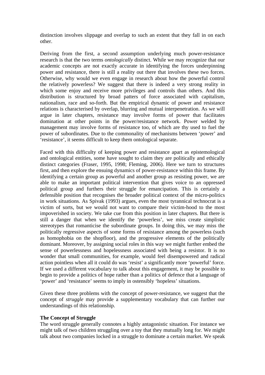distinction involves slippage and overlap to such an extent that they fall in on each other.

Deriving from the first, a second assumption underlying much power-resistance research is that the two terms *ontologically* distinct. While we may recognize that our academic concepts are not exactly accurate in identifying the forces underpinning power and resistance, there is still a reality out there that involves these two forces. Otherwise, why would we even engage in research about how the powerful control the relatively powerless? We suggest that there is indeed a very strong reality in which some enjoy and receive more privileges and controls than others. And this distribution is structured by broad patters of force associated with capitalism, nationalism, race and so-forth. But the empirical dynamic of power and resistance relations is characterised by overlap, blurring and mutual interpenetration. As we will argue in later chapters, resistance may involve forms of power that facilitates domination at other points in the power/resistance network. Power welded by management may involve forms of resistance too, of which are thy used to fuel the power of subordinates. Due to the commonality of mechanisms between 'power' and 'resistance', it seems difficult to keep them ontological separate.

Faced with this difficulty of keeping power and resistance apart as epistemological and ontological entities, some have sought to claim they are politically and ethically distinct categories (Fraser, 1995, 1998; Fleming, 2006). Here we turn to structures first, and then explore the ensuing dynamics of power-resistance within this frame. By identifying a certain group as powerful and another group as resisting power, we are able to make an important political intervention that gives voice to an oppressed political group and furthers their struggle for emancipation. This is certainly a defensible position that recognises the broader political context of the micro-politics in work situations. As Spivak (1993) argues, even the most tyrannical technocrat is a victim of sorts, but we would not want to compare their victim-hood to the most impoverished in society. We take cue from this position in later chapters. But there is still a danger that when we identify the 'powerless', we miss create simplistic stereotypes that romanticise the subordinate groups. In doing this, we may miss the politically regressive aspects of some forms of resistance among the powerless (such as homophobia on the shopfloor), and the progressive elements of the politically dominant. Moreover, by assigning social roles in this way we might further embed the sense of powerlessness and hopelessness associated with being a resistor. It is no wonder that small communities, for example, would feel disempowered and radical action pointless when all it could do was 'resist' a significantly more 'powerful' force. If we used a different vocabulary to talk about this engagement, it may be possible to begin to provide a politics of hope rather than a politics of defence that a language of 'power' and 'resistance' seems to imply in ostensibly 'hopeless' situations.

Given these three problems with the concept of power-resistance, we suggest that the concept of *struggle* may provide a supplementary vocabulary that can further our understandings of this relationship.

# **The Concept of Struggle**

The word struggle generally connotes a highly antagonistic situation. For instance we might talk of two children struggling over a toy that they mutually long for. We might talk about two companies locked in a struggle to dominate a certain market. We speak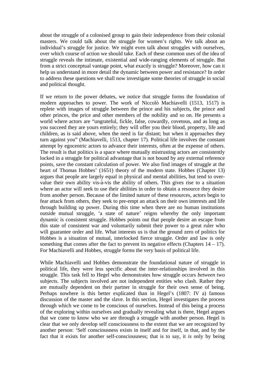about the struggle of a colonised group to gain their independence from their colonial masters. We could talk about the struggle for women's rights. We talk about an individual's struggle for justice. We might even talk about struggles with ourselves, over which course of action we should take. Each of these common uses of the idea of struggle reveals the intimate, existential and wide-ranging elements of struggle. But from a strict conceptual vantage point, what exactly is struggle? Moreover, how can it help us understand in more detail the dynamic between power and resistance? In order to address these questions we shall now investigate some theories of struggle in social and political thought.

If we return to the power debates, we notice that struggle forms the foundation of modern approaches to power. The work of Niccolò Machiavelli (1513, 1517) is replete with images of struggle between the prince and his subjects, the prince and other princes, the price and other members of the nobility and so on. He presents a world where actors are "ungrateful, fickle, false, cowardly, covetous, and as long as you succeed they are yours entirely; they will offer you their blood, property, life and children, as is said above, when the need is far distant; but when it approaches they turn against you" (Machiavelli, 1513, chapter 17). Political life involves the constant attempt by egocentric actors to advance their interests, often at the expense of others. The result is that politics is a space where mutually mistrusting actors are consistently locked in a struggle for political advantage that is not bound by any external reference points, save the constant calculation of power. We also find images of struggle at the heart of Thomas Hobbes' (1651) theory of the modern state. Hobbes (Chapter 13) argues that people are largely equal in physical and mental abilities, but tend to overvalue their own ability vis-à-vis the ability of others. This gives rise to a situation where an actor will seek to use their abilities in order to obtain a resource they desire from another person. Because of the limited nature of these resources, actors begin to fear attack from others, they seek to pre-empt an attack on their own interests and life through building up power. During this time when there are no human institutions outside mutual struggle, 'a state of nature' reigns whereby the only important dynamic is consistent struggle. Hobbes points out that people desire an escape from this state of consistent war and voluntarily submit their power to a great ruler who will guarantee order and life. What interests us is that the ground zero of politics for Hobbes is a situation of mutual, interlocked fierce struggle. Order and law is only something that comes after the fact to prevent its negative effects (Chapters  $14 - 17$ ). For Machiavelli and Hobbes, struggle forms the very basis of political life.

While Machiavelli and Hobbes demonstrate the foundational nature of struggle in political life, they were less specific about the inter-relationships involved in this struggle. This task fell to Hegel who demonstrates how struggle occurs *between* two subjects. The subjects involved are not independent entities who clash. Rather they are mutually dependent on their partner in struggle for their own sense of being. Perhaps nowhere is this better explicated than in Hegel's (1807: IV a) famous discussion of the master and the slave. In this section, Hegel investigates the process through which we come to be conscious of ourselves. Instead of this being a process of the exploring within ourselves and gradually revealing what is there, Hegel argues that we come to know who we are through a struggle with another person. Hegel is clear that we only develop self consciousness to the extent that we are recognized by another person: 'Self consciousness exists in itself and for itself, in that, and by the fact that it exists for another self-consciousness; that is to say, it *is* only by being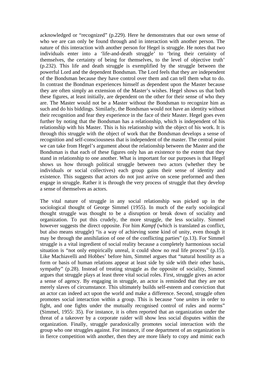acknowledged or "recognized" (p.229). Here he demonstrates that our own sense of who we are can only be found through and in interaction with another person. The nature of this interaction with another person for Hegel is struggle. He notes that two individuals enter into a 'life-and-death struggle' to 'bring their certainty of themselves, the certainty of being for themselves, to the level of objective truth' (p.232). This life and death struggle is exemplified by the struggle between the powerful Lord and the dependent Bondsman. The Lord feels that they are independent of the Bondsman because they have control over them and can tell them what to do. In contrast the Bondman experiences himself as dependent upon the Master because they are often simply an extension of the Master's wishes. Hegel shows us that both these figures, at least initially, are dependent on the other for their sense of who they are. The Master would not be a Master without the Bondsman to recognize him as such and do his biddings. Similarly, the Bondsman would not have an identity without their recognition and fear they experience in the face of their Master. Hegel goes even further by noting that the Bondsman has a relationship, which is independent of his relationship with his Master. This is his relationship with the object of his work. It is through this struggle with the object of work that the Bondsman develops a sense of recognition and self-consciousness that is independent of the master. The central point we can take from Hegel's argument about the relationship between the Master and the Bondsman is that each of these figures only has an existence to the extent that they stand in relationship to one another. What is important for our purposes is that Hegel shows us how through political struggle between two actors (whether they be individuals or social collectives) each group gains their sense of identity and existence. This suggests that actors do not just arrive on scene preformed and then engage in struggle. Rather it is through the very process of struggle that they develop a sense of themselves as actors.

The vital nature of struggle in any social relationship was picked up in the sociological thought of George Simmel (1955). In much of the early sociological thought struggle was thought to be a disruption or break down of sociality and organization. To put this crudely, the more struggle, the less sociality. Simmel however suggests the direct opposite. For him *Kampf* (which is translated as conflict, but also means struggle) "is a way of achieving some kind of unity, even though it may be through the annihilation of one of the conflicting parties" (p.13). For Simmel struggle is a vital ingredient of social reality because a completely harmonious social situation is "not only empirically unreal, it could show no real life process" (p.15). Like Machiavelli and Hobbes' before him, Simmel argues that "natural hostility as a form or basis of human relations appear at least side by side with their other basis, sympathy" (p.28). Instead of treating struggle as the opposite of sociality, Simmel argues that struggle plays at least three vital social roles. First, struggle gives an actor a sense of agency. By engaging in struggle, an actor is reminded that they are not merely slaves of circumstance. This ultimately builds self-esteem and conviction that an actor can indeed act upon the world and make a difference. Second, struggle often promotes social interaction within a group. This is because "one *unites* in order to fight, and one fights under the mutually recognised control of rules and norms" (Simmel, 1955: 35). For instance, it is often reported that an organization under the threat of a takeover by a corporate raider will show less social disputes within the organization. Finally, struggle paradoxically promotes social interaction with the group who one struggles against. For instance, if one department of an organization is in fierce competition with another, then they are more likely to copy and mimic each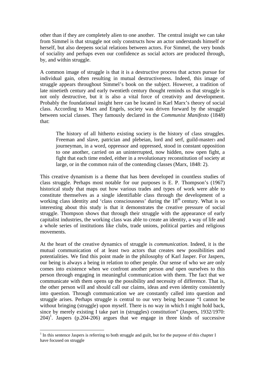other than if they are completely alien to one another. The central insight we can take from Simmel is that struggle not only constructs how an actor understands himself or herself, but also deepens social relations between actors. For Simmel, the very bonds of sociality and perhaps even our confidence as social actors are produced through, by, and within struggle.

A common image of struggle is that it is a destructive process that actors pursue for individual gain, often resulting in mutual destructiveness. Indeed, this image of struggle appears throughout Simmel's book on the subject. However, a tradition of late ninetieth century and early twentieth century thought reminds us that struggle is not only destructive, but it is also a vital force of creativity and development. Probably the foundational insight here can be located in Karl Marx's theory of social class. According to Marx and Engels, society was driven forward by the struggle between social classes. They famously declared in the *Communist Manifesto* (1848) that:

The history of all hitherto existing society is the history of class struggles. Freeman and slave, patrician and plebeian, lord and serf, guild-masters and journeyman, in a word, oppressor and oppressed, stood in constant opposition to one another, carried on an uninterrupted, now hidden, now open fight, a fight that each time ended, either in a revolutionary reconstitution of society at large, or in the common ruin of the contending classes (Marx, 1848: 2).

This creative dynamism is a theme that has been developed in countless studies of class struggle. Perhaps most notable for our purposes is E. P. Thompson's (1967) historical study that maps out how various trades and types of work were able to constitute themselves as a single identifiable class through the development of a working class identity and 'class consciousness' during the 18<sup>th</sup> century. What is so interesting about this study is that it demonstrates the creative pressure of social struggle. Thompson shows that through their struggle with the appearance of early capitalist industries, the working class was able to create an identity, a way of life and a whole series of institutions like clubs, trade unions, political parties and religious movements.

At the heart of the creative dynamics of struggle is *communication*. Indeed, it is the mutual communication of at least two actors that creates new possibilities and potentialities. We find this point made in the philosophy of Karl Jasper. For Jaspers, our being is always a being in relation to other people. Our sense of who we are only comes into existence when we confront another person *and* open ourselves to this person through engaging in meaningful communication with them. The fact that we communicate with them opens up the possibility and necessity of difference. That is, the other person will and should call our claims, ideas and even identity consistently into question. Through communication we are constantly called into question and struggle arises. Perhaps struggle is central to our very being because "I cannot be without bringing (struggle) upon myself. There is no way in which I might hold back, since by merely existing I take part in (struggles) constitution" (Jaspers, 1932/1970:  $204$ <sup>1</sup>. Jaspers (p.204-206) argues that we engage in three kinds of successive

<sup>&</sup>lt;u>.</u>  $<sup>1</sup>$  In this sentence Jaspers is referring to both struggle and guilt, but for the purpose of this chapter I</sup> have focused on struggle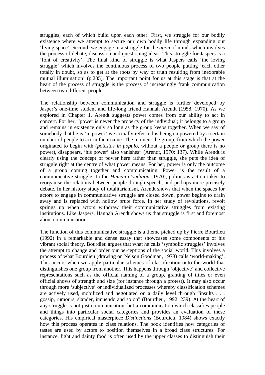struggles, each of which build upon each other. First, we struggle for our bodily existence where we attempt to secure our own bodily life through expanding our 'living space'. Second, we engage in a struggle for the *agon* of minds which involves the process of debate, discussion and questioning ideas. This struggle for Jaspers is a 'font of creativity'. The final kind of struggle is what Jaspers calls 'the loving struggle' which involves the continuous process of two people putting 'each other totally in doubt, so as to get at the roots by way of truth resulting from inexorable mutual illumination' (p.205). The important point for us at this stage is that at the heart of the process of struggle is the process of increasingly frank communication between two different people.

The relationship between communication and struggle is further developed by Jasper's one-time student and life-long friend Hannah Arendt (1958, 1970). As we explored in Chapter 1, Arendt suggests power comes from our ability to act in concert. For her, "power is never the property of the individual; it belongs to a group and remains in existence only so long as the group keeps together. When we say of somebody that he is 'in power' we actually refer to his being empowered by a certain number of people to act in their name. The moment the group, from which the power originated to begin with (*potestas in populo*, without a people or group there is no power), disappears, 'his power' also vanishes" (Arendt, 1970: 137). While Arendt is clearly using the concept of power here rather than struggle, she puts the idea of struggle right at the centre of what power means. For her, power is only the outcome of a group coming together and communicating. Power is the result of a communicative struggle. In the *Human Condition* (1970), politics is action taken to reorganise the relations between people through speech, and perhaps more precisely debate. In her history study of totalitarianism, Arendt shows that when the spaces for actors to engage in communicative struggle are closed down, power begins to drain away and is replaced with hollow brute force. In her study of revolutions, revolt springs up when actors withdraw their communicative struggles from existing institutions. Like Jaspers, Hannah Arendt shows us that struggle is first and foremost about communication.

The function of this communicative struggle is a theme picked up by Pierre Bourdieu (1992) in a remarkable and dense essay that showcases some components of his vibrant social theory. Bourdieu argues that what he calls 'symbolic struggles' involves the attempt to change and order our perceptions of the social world. This involves a process of what Bourdieu (drawing on Nelson Goodman, 1978) calls 'world-making'. This occurs when we apply particular schemes of classification onto the world that distinguishes one group from another. This happens through 'objective' and collective representations such as the official naming of a group, granting of titles or even official shows of strength and size (for instance through a protest). It may also occur through more 'subjective' or individualized processes whereby classification schemes are actively used, mobilized and negotiated on a daily level through "insults . . . gossip, rumours, slander, innuendo and so on" (Bourdieu, 1992: 239). At the heart of any struggle is not just communication, but a communication which classifies people and things into particular social categories and provides an evaluation of these categories. His empirical masterpiece *Distinctions* (Bourdieu, 1984) shows exactly how this process operates in class relations. The book identifies how categories of tastes are used by actors to position themselves in a broad class structures. For instance, light and dainty food is often used by the upper classes to distinguish their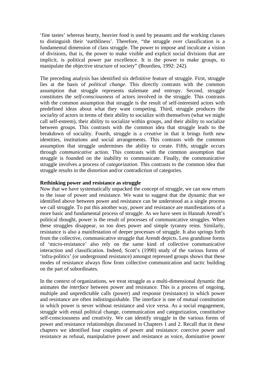'fine tastes' whereas hearty, heavier food is used by peasants and the working classes to distinguish their 'earthliness'. Therefore, "the struggle over classification is a fundamental dimension of class struggle. The power to impose and inculcate a vision of divisions, that is, the power to make visible and explicit social divisions that are implicit, is political power par excellence. It is the power to make groups, to manipulate the objective structure of society" (Bourdieu, 1992: 242).

The preceding analysis has identified six definitive feature of struggle. First, struggle lies at the basis of *political change*. This directly contrasts with the common assumption that struggle represents stalemate and entropy. Second, struggle constitutes the *self-consciousness* of actors involved in the struggle. This contrasts with the common assumption that struggle is the result of self-interested actors with predefined ideas about what they want competing. Third, struggle produces the *sociality* of actors in terms of their ability to socialize with themselves (what we might call self-esteem), their ability to socialize within groups, and their ability to socialize between groups. This contrasts with the common idea that struggle leads to the breakdown of sociality. Fourth, struggle is a *creative* in that it brings forth new identities, institutions and social arrangements. This contrasts with the common assumption that struggle undermines the ability to create. Fifth, struggle occurs through *communicative* action. This contrasts with the common assumption that struggle is founded on the inability to communicate. Finally, the communicative struggle involves a process of *categorization*. This contrasts to the common idea that struggle results in the distortion and/or contradiction of categories.

# **Rethinking power and resistance as struggle**

Now that we have systematically unpacked the concept of struggle, we can now return to the issue of power and resistance. We want to suggest that the dynamic that we identified above between power and resistance can be understood as a single process we call struggle. To put this another way, power and resistance are manifestations of a more basic and fundamental process of struggle. As we have seen in Hannah Arendt's political thought, power is the result of processes of communicative struggles. When these struggles disappear, so too does power and simple tyranny reins. Similarly, resistance is also a manifestation of deeper processes of struggle. It also springs forth from the collective, communicative struggle that Arendt depicts. Less grandiose forms of 'micro-resistance' also rely on the same kind of collective communicative interaction and classification. Indeed, Scott's (1990) study of the various forms of 'infra-politics' (or underground resistance) amongst repressed groups shows that these modes of resistance always flow from collective communication and tactic building on the part of subordinates.

In the context of organizations, we treat struggle as a multi-dimensional dynamic that animates the *interface* between power and resistance. This is a process of ongoing, multiple and unpredictable calls (power) and response (resistance) in which power and resistance are often indistinguishable. The interface is one of mutual constitution in which power is never without resistance and vice versa. As a social engagement, struggle with entail political change, communication and categorization, constitutive self-consciousness and creativity. We can identify struggle in the various forms of power and resistance relationships discussed in Chapters 1 and 2. Recall that in these chapters we identified four couplets of power and resistance: coercive power and resistance as refusal, manipulative power and resistance as voice, dominative power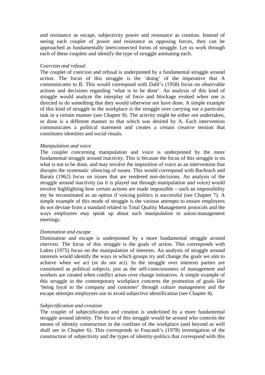and resistance as escape, subjectivity power and resistance as creation. Instead of seeing each couplet of power and resistance as opposing forces, they can be approached as fundamentally interconnected forms of struggle. Let us work through each of these couplets and identify the type of struggle animating each.

#### *Coercion and refusal*

The couplet of coercion and refusal is underpinned by a fundamental struggle around *action*. The focus of this struggle is the 'doing' of the imperative that A communicates to B. This would correspond with Dahl's (1958) focus on observable actions and decisions regarding 'what is to be done'. An analysis of this kind of struggle would analyze the interplay of force and blockage evoked when one is directed to do something that they would otherwise not have done. A simple example of this kind of struggle in the workplace is the struggle over carrying out a particular task in a certain manner (see Chapter 8). The activity might be either not undertaken, or done is a different manner to that which was desired by A. Each intervention communicates a political statement and creates a certain creative tension that constitutes identities and social rituals.

#### *Manipulation and voice*

The couplet concerning manipulation and voice is underpinned by the more fundamental struggle around *inactivity*. This is because the focus of this struggle is on what is not to be done, and may involve the imposition of voice as an intervention that disrupts the systematic silencing of issues. This would correspond with Bachrach and Baratz (1962) focus on issues that are rendered non-decisions. An analysis of the struggle around inactivity (as it is played out through manipulation and voice) would involve highlighting how certain actions are made impossible – such an impossibility my be reconstituted as an option if voicing politics is successful (see Chapter 7). A simple example of this mode of struggle is the various attempts to ensure employees do not deviate from a standard related to Total Quality Management protocols and the ways employees may speak up about such manipulation in union-management meetings.

#### *Domination and escape*

Domination and escape is underpinned by a more fundamental struggle around *interests*. The focus of this struggle is the goals of action. This corresponds with Lukes (1975) focus on the manipulation of interests. An analysis of struggle around interests would identify the ways in which groups try and change the goals we aim to achieve when we act (or do not act). In the struggle over interests parties are constituted as political subjects, just as the self-consciousness of management and workers are created when conflict arises over change initiatives. A simple example of this struggle in the contemporary workplace concerns the promotion of goals like 'being loyal to the company and customer' through culture management and the escape attempts employees use to avoid subjective identification (see Chapter 4).

#### *Subjectification and creation*

The couplet of subjectification and creation is underlined by a more fundamental struggle around *identity*. The focus of this struggle would be around who controls the means of identity construction in the confines of the workplace (and beyond as well shall see in Chapter 6). This corresponds to Foucault's (1978) investigation of the construction of subjectivity and the types of identity-politics that correspond with this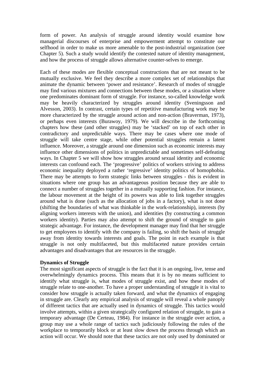form of power. An analysis of struggle around identity would examine how managerial discourses of enterprise and empowerment attempt to constitute our selfhood in order to make us more amenable to the post-industrial organization (see Chapter 5). Such a study would identify the contested nature of identity management, and how the process of struggle allows alternative counter-selves to emerge.

Each of these modes are flexible conceptual constructions that are not meant to be mutually exclusive. We feel they describe a more complex set of relationships that animate the dynamic between 'power and resistance'. Research of modes of struggle may find various mixtures and connections between these modes, or a situation where one predominates dominant form of struggle. For instance, so-called knowledge work may be heavily characterized by struggles around identity (Sveningsson and Alvesson, 2003). In contrast, certain types of repetitive manufacturing work may be more characterized by the struggle around action and non-action (Braverman, 1973), or perhaps even interests (Burawoy, 1979). We will describe in the forthcoming chapters how these (and other struggles) may be 'stacked' on top of each other in contradictory and unpredictable ways. There may be cases where one mode of struggle will take centre stage, while other potential struggles remain a latent influence. Moreover, a struggle around one dimension such as economic interests may influence other dimensions of politics in unpredictable and sometimes self-defeating ways. In Chapter 5 we will show how struggles around sexual identity and economic interests can confound each. The 'progressive' politics of workers striving to address economic inequality deployed a rather 'regressive' identity politics of homophobia. There may be attempts to form strategic links between struggles - this is evident in situations where one group has an advantageous position because they are able to connect a number of struggles together in a mutually supporting fashion. For instance, the labour movement at the height of its powers was able to link together struggles around what is done (such as the allocation of jobs in a factory), what is not done (shifting the boundaries of what was thinkable in the work-relationship), interests (by aligning workers interests with the union), and identities (by constructing a common workers identity). Parties may also attempt to shift the ground of struggle to gain strategic advantage. For instance, the development manager may find that her struggle to get employees to identify with the company is failing, so shift the basis of struggle away from identity towards interests and goals. The point in each example is that struggle is not only multifaceted, but this multifaceted nature provides certain advantages and disadvantages that are resources in the struggle.

# **Dynamics of Struggle**

The most significant aspects of struggle is the fact that it is an ongoing, live, tense and overwhelmingly dynamics process. This means that it is by no means sufficient to identify what struggle is, what modes of struggle exist, and how these modes of struggle relate to one-another. To have a proper understanding of struggle it is vital to consider how struggle is actually taken forward, and what the dynamics of engaging in struggle are. Clearly any empirical analysis of struggle will reveal a whole panoply of different tactics that are actually used in dynamics of struggle. This tactics would involve attempts, within a given strategically configured relation of struggle, to gain a temporary advantage (De Certeau, 1984). For instance in the struggle over action, a group may use a whole range of tactics such judiciously following the rules of the workplace to temporarily block or at least slow down the process through which an action will occur. We should note that these tactics are not only used by dominated or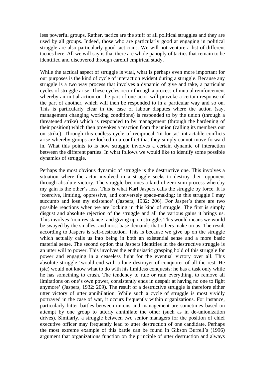less powerful groups. Rather, tactics are the stuff of all political struggles and they are used by all groups. Indeed, those who are particularly good at engaging in political struggle are also particularly good tacticians. We will not venture a list of different tactics here. All we will say is that there are whole panoply of tactics that remain to be identified and discovered through careful empirical study.

While the tactical aspect of struggle is vital, what is perhaps even more important for our purposes is the kind of cycle of interaction evident during a struggle. Because any struggle is a two way process that involves a dynamic of give and take, a particular cycles of struggle arise. These cycles occur through a process of mutual reinforcement whereby an initial action on the part of one actor will provoke a certain response of the part of another, which will then be responded to in a particular way and so on. This is particularly clear in the case of labour disputes where the action (say, management changing working conditions) is responded to by the union (through a threatened strike) which is responded to by management (through the hardening of their position) which then provokes a reaction from the union (calling its members out on strike). Through this endless cycle of reciprocal 'tit-for-tat' intractable conflicts arise whereby groups are locked in a conflict that they simply cannot move forward in. What this points to is how struggle involves a certain dynamic of interaction between the different parties. In what follows we would like to identify some possible dynamics of struggle.

Perhaps the most obvious dynamic of struggle is the destructive one. This involves a situation where the actor involved in a struggle seeks to destroy their opponent through absolute victory. The struggle becomes a kind of zero sum process whereby my gain is the other's loss. This is what Karl Jaspers calls the struggle by force. It is 'coercive, limiting, oppressive, and conversely space-making: in this struggle I may succumb and lose my existence' (Jaspers, 1932: 206). For Jasper's there are two possible reactions when we are locking in this kind of struggle. The first is simply disgust and absolute rejection of the struggle and all the various gains it brings us. This involves 'non-resistance' and giving up on struggle. This would means we would be swayed by the smallest and most base demands that others make on us. The result according to Jaspers is self-destruction. This is because we give up on the struggle which actually calls us into being in both an existential sense and a more basic material sense. The second option that Jaspers identifies in the destructive struggle is an utter will to power. This involves the enthusiastic grasping hold of this struggle for power and engaging in a ceaseless fight for the eventual victory over all. This absolute struggle 'would end with a lone destroyer of conquorer of all the rest. He (sic) would not know what to do with his limitless conquests: he has a task only while he has something to crush. The tendency to rule or ruin everything, to remove all limitations on one's own power, consistently ends in despair at having no one to fight anymore' (Jaspers, 1932: 209). The result of a destructive struggle is therefore either utter victory of utter annihilation. While such a cycle of struggle is most vividly portrayed in the case of war, it occurs frequently within organizations. For instance, particularly bitter battles between unions and management are sometimes based on attempt by one group to utterly annihilate the other (such as in de-unionization drives). Similarly, a struggle between two senior managers for the position of chief executive officer may frequently lead to utter destruction of one candidate. Perhaps the most extreme example of this battle can be found in Gibson Burrell's (1996) argument that organizations function on the principle of utter destruction and always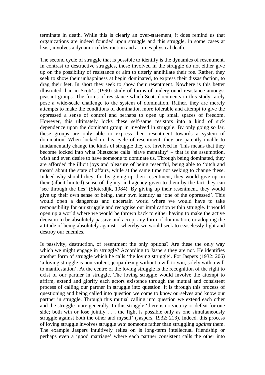terminate in death. While this is clearly an over-statement, it does remind us that organizations are indeed founded upon struggle and this struggle, in some cases at least, involves a dynamic of destruction and at times physical death.

The second cycle of struggle that is possible to identify is the dynamics of resentment. In contrast to destructive struggles, those involved in the struggle do not either give up on the possibility of resistance or aim to utterly annihilate their foe. Rather, they seek to show their unhappiness at begin dominated, to express their dissasifaction, to drag their feet. In short they seek to show their resentment. Nowhere is this better illustrated than in Scott's (1990) study of forms of underground resistance amongst peasant groups. The forms of resistance which Scott documents in this study rarely pose a wide-scale challenge to the system of domination. Rather, they are merely attempts to make the conditions of domination more tolerable and attempt to give the oppressed a sense of control and perhaps to open up small spaces of freedom. However, this ultimately locks these self-same resistors into a kind of sick dependence upon the dominant group in involved in struggle. By only going so far, these groups are only able to express their resentment towards a system of domination. When locked in this cycle of resentment, they are patently unable to fundamentally change the kinds of struggle they are involved in. This means that they become locked into what Nietzsche calls 'slave mentality' – that is the assumption, wish and even desire to have someone to dominate us. Through being dominated, they are afforded the illicit joys and pleasure of being resentful, being able to 'bitch and moan' about the state of affairs, while at the same time not seeking to change these. Indeed why should they, for by giving up their resentment, they would give up on their (albeit limited) sense of dignity and agency given to them by the fact they can 'see through the lies' (Sloterdijk, 1984). By giving up their resentment, they would give up their own sense of being, their own identity as 'one of the oppressed'. This would open a dangerous and uncertain world where we would have to take responsibility for our struggle and recognise our implication within struggle. It would open up a world where we would be thrown back to either having to make the active decision to be absolutely passive and accept any form of domination, or adopting the attitude of being absolutely against – whereby we would seek to ceaselessly fight and destroy our enemies.

Is passivity, destruction, of resentment the only options? Are these the only way which we might engage in struggle? According to Jaspers they are not. He identifies another form of struggle which he calls 'the loving struggle'. For Jaspers (1932: 206) 'a loving struggle is non-violent, jeopardizing without a will to win, solely with a will to manifestation'. At the centre of the loving struggle is the recognition of the right to exist of our partner in struggle. The loving struggle would involve the attempt to affirm, extend and glorify each actors existence through the mutual and consistent process of calling our partner in struggle into question. It is through this process of questioning and being called into question we come to know ourselves and know our partner in struggle. Through this mutual calling into question we extend each other and the struggle more generally. In this struggle 'there is no victory or defeat for one side; both win or lose jointly . . . the fight is possible only as one simultaneously struggle against both the other and myself' (Jaspers, 1932: 213). Indeed, this process of loving struggle involves struggle *with* someone rather than struggling *against* them. The example Jaspers intuitively relies on is long-term intellectual friendship or perhaps even a 'good marriage' where each partner consistent calls the other into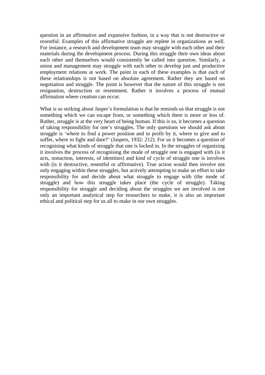question in an affirmative and expansive fashion, in a way that is not destructive or resentful. Examples of this affirmative struggle are replete in organizations as well. For instance, a research and development team may struggle with each other and their materials during the development process. During this struggle their own ideas about each other and themselves would consistently be called into question. Similarly, a union and management may struggle with each other to develop just and productive employment relations at work. The point in each of these examples is that each of these relationships is not based on absolute agreement. Rather they are based on negotiation and struggle. The point is however that the nature of this struggle is not resignation, destruction or resentment. Rather it involves a process of mutual affirmation where creation can occur.

What is so striking about Jasper's formulation is that he reminds us that struggle is not something which we can escape from, or something which there is more or less of. Rather, struggle is at the very heart of being human. If this is so, it becomes a question of taking responsibility for one's struggles. The only questions we should ask about struggle is 'where to find a power position and to profit by it, where to give and to suffer, where to fight and dare?' (Jaspers, 1932: 212). For us it becomes a question of recognising what kinds of struggle that one is locked in. In the struggles of organizing it involves the process of recognising the mode of struggle one is engaged with (is it acts, nonaction, interests, of identities) and kind of cycle of struggle one is involves with (is it destructive, resentful or affirmative). True action would then involve not only engaging within these struggles, but actively attempting to make an effort to take responsibility for and decide about what struggle to engage with (the mode of struggle) and how this struggle takes place (the cycle of struggle). Taking responsibility for struggle and deciding about the struggles we are involved is not only an important analytical step for researchers to make, it is also an important ethical and political step for us all to make in our own struggles.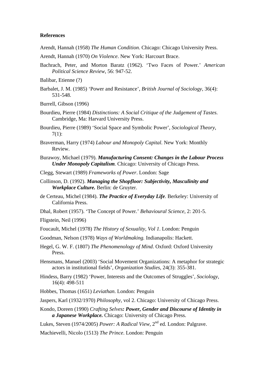### **References**

- Arendt, Hannah (1958) *The Human Condition*. Chicago: Chicago University Press.
- Arendt, Hannah (1970) *On Violence*. New York: Harcourt Brace.
- Bachrach, Peter, and Morton Baratz (1962). 'Two Faces of Power.' *American Political Science Review*, 56: 947-52.
- Balibar, Etienne (?)
- Barbalet, J. M. (1985) 'Power and Resistance', *British Journal of Sociology,* 36(4): 531-548.
- Burrell, Gibson (1996)
- Bourdieu, Pierre (1984) *Distinctions: A Social Critique of the Judgement of Tastes.* Cambridge, Ma: Harvard University Press.
- Bourdieu, Pierre (1989) 'Social Space and Symbolic Power', *Sociological Theory*, 7(1):
- Braverman, Harry (1974) *Labour and Monopoly Capital*. New York: Monthly Review.
- Burawoy, Michael (1979). *Manufacturing Consent: Changes in the Labour Process Under Monopoly Capitalism.* Chicago: University of Chicago Press.
- Clegg, Stewart (1989) *Frameworks of Power*. London: Sage
- Collinson, D. (1992). *Managing the Shopfloor: Subjectivity, Masculinity and Workplace Culture.* Berlin: de Gruyter.
- de Certeau, Michel (1984). *The Practice of Everyday Life*. Berkeley: University of California Press.
- Dhal, Robert (1957). 'The Concept of Power.' *Behavioural Science*, 2: 201-5.

Fligstein, Neil (1996)

- Foucault, Michel (1978) *The History of Sexuality, Vol 1*. London: Penguin
- Goodman, Nelson (1978) *Ways of Worldmaking.* Indianapolis: Hackett.
- Hegel, G. W. F. (1807) *The Phenomenology of Mind*. Oxford: Oxford University Press.
- Hensmans, Manuel (2003) 'Social Movement Organizations: A metaphor for strategic actors in institutional fields', *Organization Studies*, 24(3): 355-381.
- Hindess, Barry (1982) 'Power, Interests and the Outcomes of Struggles', *Sociology*, 16(4): 498-511
- Hobbes, Thomas (1651) *Leviathan*. London: Penguin
- Jaspers, Karl (1932/1970) *Philosophy*, vol 2. Chicago: University of Chicago Press.
- Kondo, Doreen (1990) *Crafting Selves: Power, Gender and Discourse of Identity in a Japanese Workplace.* Chicago: University of Chicago Press.

Lukes, Steven (1974/2005) *Power: A Radical View*, 2<sup>nd</sup> ed. London: Palgrave.

Machievelli, Nicolo (1513) *The Prince*. London: Penguin